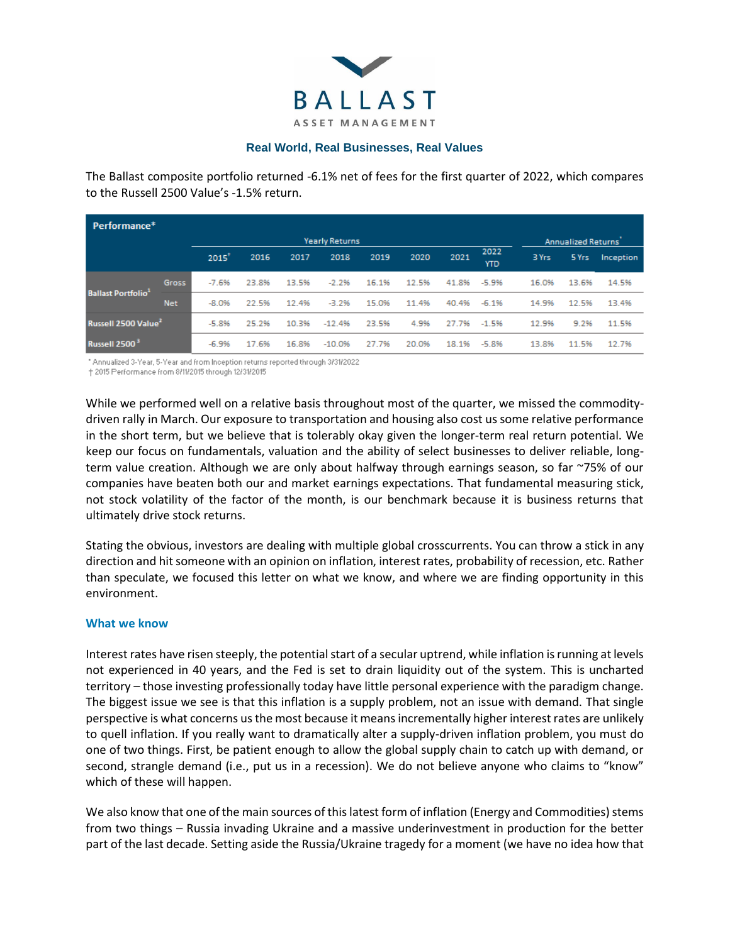

## **Real World, Real Businesses, Real Values**

The Ballast composite portfolio returned -6.1% net of fees for the first quarter of 2022, which compares to the Russell 2500 Value's -1.5% return.

| Performance <sup>*</sup>        |                       |         |       |       |          |       |       |       |                    |                           |       |           |
|---------------------------------|-----------------------|---------|-------|-------|----------|-------|-------|-------|--------------------|---------------------------|-------|-----------|
|                                 | <b>Yearly Returns</b> |         |       |       |          |       |       |       |                    | <b>Annualized Returns</b> |       |           |
|                                 |                       | 2015'   | 2016  | 2017  | 2018     | 2019  | 2020  | 2021  | 2022<br><b>YTD</b> | 3 Yrs                     | 5 Yrs | Inception |
| <b>Ballast Portfolio</b>        | <b>Gross</b>          | $-7.6%$ | 23.8% | 13.5% | $-2.2%$  | 16.1% | 12.5% | 41.8% | $-5.9%$            | 16.0%                     | 13.6% | 14.5%     |
|                                 | <b>Net</b>            | $-8.0%$ | 22.5% | 12.4% | $-3.2%$  | 15.0% | 11.4% | 40.4% | $-6.1%$            | 14.9%                     | 12.5% | 13.4%     |
| Russell 2500 Value <sup>2</sup> |                       | $-5.8%$ | 25.2% | 10.3% | $-12.4%$ | 23.5% | 4.9%  | 27.7% | $-1.5%$            | 12.9%                     | 9.2%  | 11.5%     |
| Russell 2500 <sup>3</sup>       |                       | $-6.9%$ | 17.6% | 16.8% | $-10.0%$ | 27.7% | 20.0% | 18.1% | $-5.8%$            | 13.8%                     | 11.5% | 12.7%     |

\* Annualized 3-Year, 5-Year and from Inception returns reported through 3/31/2022

† 2015 Performance from 8/11/2015 through 12/31/2015

While we performed well on a relative basis throughout most of the quarter, we missed the commoditydriven rally in March. Our exposure to transportation and housing also cost us some relative performance in the short term, but we believe that is tolerably okay given the longer-term real return potential. We keep our focus on fundamentals, valuation and the ability of select businesses to deliver reliable, longterm value creation. Although we are only about halfway through earnings season, so far ~75% of our companies have beaten both our and market earnings expectations. That fundamental measuring stick, not stock volatility of the factor of the month, is our benchmark because it is business returns that ultimately drive stock returns.

Stating the obvious, investors are dealing with multiple global crosscurrents. You can throw a stick in any direction and hit someone with an opinion on inflation, interest rates, probability of recession, etc. Rather than speculate, we focused this letter on what we know, and where we are finding opportunity in this environment.

## **What we know**

Interest rates have risen steeply, the potential start of a secular uptrend, while inflation is running at levels not experienced in 40 years, and the Fed is set to drain liquidity out of the system. This is uncharted territory – those investing professionally today have little personal experience with the paradigm change. The biggest issue we see is that this inflation is a supply problem, not an issue with demand. That single perspective is what concerns us the most because it means incrementally higher interest rates are unlikely to quell inflation. If you really want to dramatically alter a supply-driven inflation problem, you must do one of two things. First, be patient enough to allow the global supply chain to catch up with demand, or second, strangle demand (i.e., put us in a recession). We do not believe anyone who claims to "know" which of these will happen.

We also know that one of the main sources of this latest form of inflation (Energy and Commodities) stems from two things – Russia invading Ukraine and a massive underinvestment in production for the better part of the last decade. Setting aside the Russia/Ukraine tragedy for a moment (we have no idea how that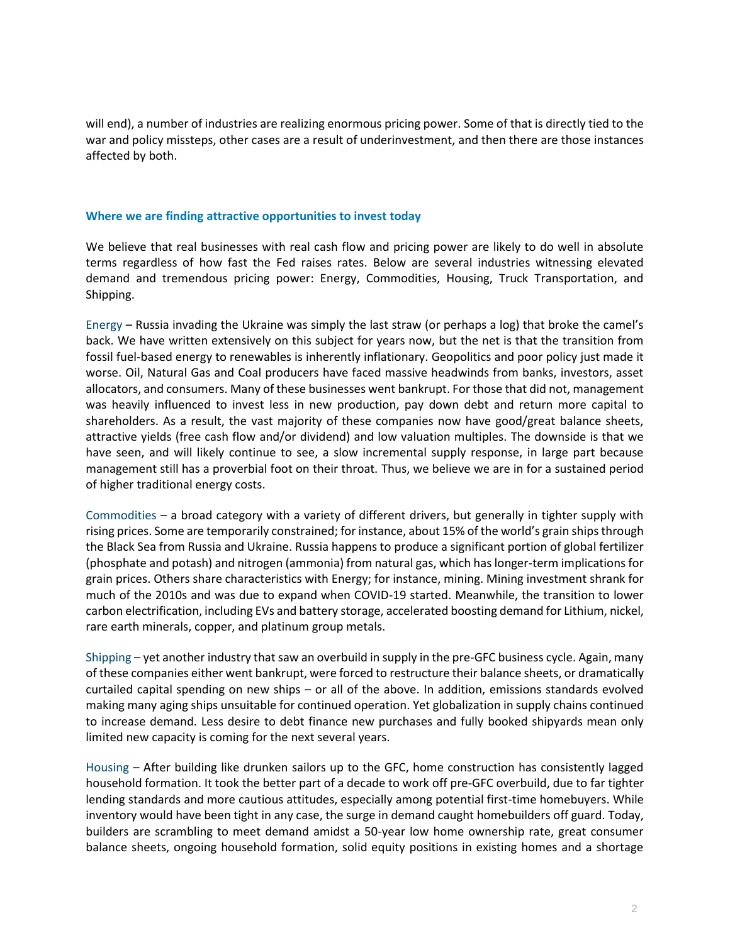will end), a number of industries are realizing enormous pricing power. Some of that is directly tied to the war and policy missteps, other cases are a result of underinvestment, and then there are those instances affected by both.

## **Where we are finding attractive opportunities to invest today**

We believe that real businesses with real cash flow and pricing power are likely to do well in absolute terms regardless of how fast the Fed raises rates. Below are several industries witnessing elevated demand and tremendous pricing power: Energy, Commodities, Housing, Truck Transportation, and Shipping.

Energy – Russia invading the Ukraine was simply the last straw (or perhaps a log) that broke the camel's back. We have written extensively on this subject for years now, but the net is that the transition from fossil fuel-based energy to renewables is inherently inflationary. Geopolitics and poor policy just made it worse. Oil, Natural Gas and Coal producers have faced massive headwinds from banks, investors, asset allocators, and consumers. Many of these businesses went bankrupt. For those that did not, management was heavily influenced to invest less in new production, pay down debt and return more capital to shareholders. As a result, the vast majority of these companies now have good/great balance sheets, attractive yields (free cash flow and/or dividend) and low valuation multiples. The downside is that we have seen, and will likely continue to see, a slow incremental supply response, in large part because management still has a proverbial foot on their throat. Thus, we believe we are in for a sustained period of higher traditional energy costs.

Commodities – a broad category with a variety of different drivers, but generally in tighter supply with rising prices. Some are temporarily constrained; for instance, about 15% of the world's grain ships through the Black Sea from Russia and Ukraine. Russia happens to produce a significant portion of global fertilizer (phosphate and potash) and nitrogen (ammonia) from natural gas, which has longer-term implications for grain prices. Others share characteristics with Energy; for instance, mining. Mining investment shrank for much of the 2010s and was due to expand when COVID-19 started. Meanwhile, the transition to lower carbon electrification, including EVs and battery storage, accelerated boosting demand for Lithium, nickel, rare earth minerals, copper, and platinum group metals.

Shipping – yet another industry that saw an overbuild in supply in the pre-GFC business cycle. Again, many of these companies either went bankrupt, were forced to restructure their balance sheets, or dramatically curtailed capital spending on new ships – or all of the above. In addition, emissions standards evolved making many aging ships unsuitable for continued operation. Yet globalization in supply chains continued to increase demand. Less desire to debt finance new purchases and fully booked shipyards mean only limited new capacity is coming for the next several years.

Housing – After building like drunken sailors up to the GFC, home construction has consistently lagged household formation. It took the better part of a decade to work off pre-GFC overbuild, due to far tighter lending standards and more cautious attitudes, especially among potential first-time homebuyers. While inventory would have been tight in any case, the surge in demand caught homebuilders off guard. Today, builders are scrambling to meet demand amidst a 50-year low home ownership rate, great consumer balance sheets, ongoing household formation, solid equity positions in existing homes and a shortage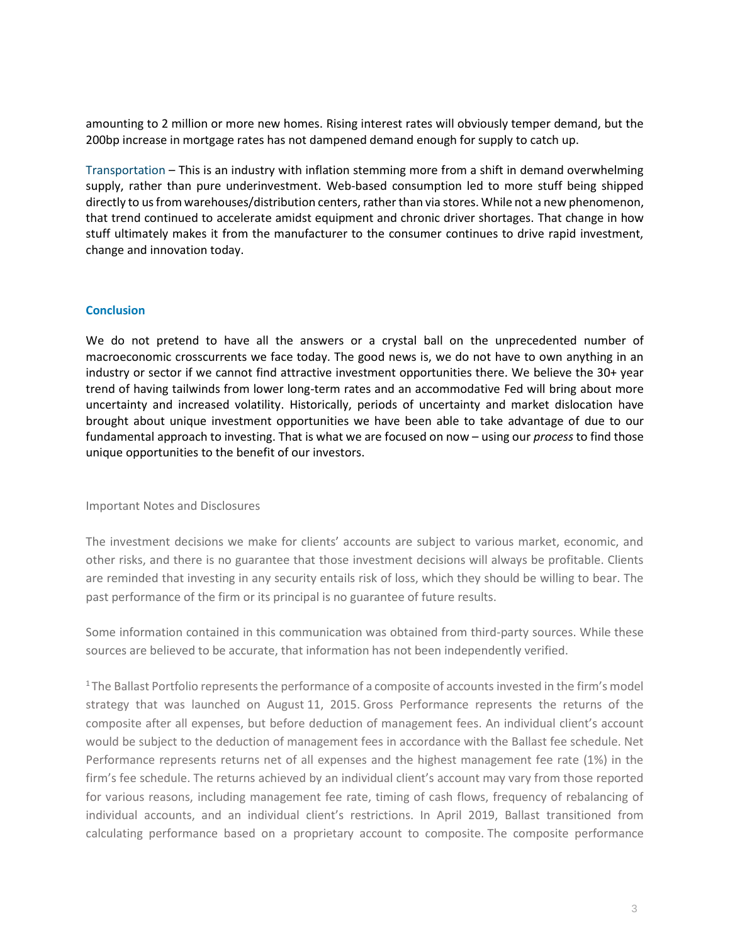amounting to 2 million or more new homes. Rising interest rates will obviously temper demand, but the 200bp increase in mortgage rates has not dampened demand enough for supply to catch up.

Transportation – This is an industry with inflation stemming more from a shift in demand overwhelming supply, rather than pure underinvestment. Web-based consumption led to more stuff being shipped directly to us from warehouses/distribution centers, rather than via stores. While not a new phenomenon, that trend continued to accelerate amidst equipment and chronic driver shortages. That change in how stuff ultimately makes it from the manufacturer to the consumer continues to drive rapid investment, change and innovation today.

## **Conclusion**

We do not pretend to have all the answers or a crystal ball on the unprecedented number of macroeconomic crosscurrents we face today. The good news is, we do not have to own anything in an industry or sector if we cannot find attractive investment opportunities there. We believe the 30+ year trend of having tailwinds from lower long-term rates and an accommodative Fed will bring about more uncertainty and increased volatility. Historically, periods of uncertainty and market dislocation have brought about unique investment opportunities we have been able to take advantage of due to our fundamental approach to investing. That is what we are focused on now – using our *process* to find those unique opportunities to the benefit of our investors.

Important Notes and Disclosures

The investment decisions we make for clients' accounts are subject to various market, economic, and other risks, and there is no guarantee that those investment decisions will always be profitable. Clients are reminded that investing in any security entails risk of loss, which they should be willing to bear. The past performance of the firm or its principal is no guarantee of future results.

Some information contained in this communication was obtained from third-party sources. While these sources are believed to be accurate, that information has not been independently verified.

<sup>1</sup>The Ballast Portfolio represents the performance of a composite of accounts invested in the firm's model strategy that was launched on August 11, 2015. Gross Performance represents the returns of the composite after all expenses, but before deduction of management fees. An individual client's account would be subject to the deduction of management fees in accordance with the Ballast fee schedule. Net Performance represents returns net of all expenses and the highest management fee rate (1%) in the firm's fee schedule. The returns achieved by an individual client's account may vary from those reported for various reasons, including management fee rate, timing of cash flows, frequency of rebalancing of individual accounts, and an individual client's restrictions. In April 2019, Ballast transitioned from calculating performance based on a proprietary account to composite. The composite performance